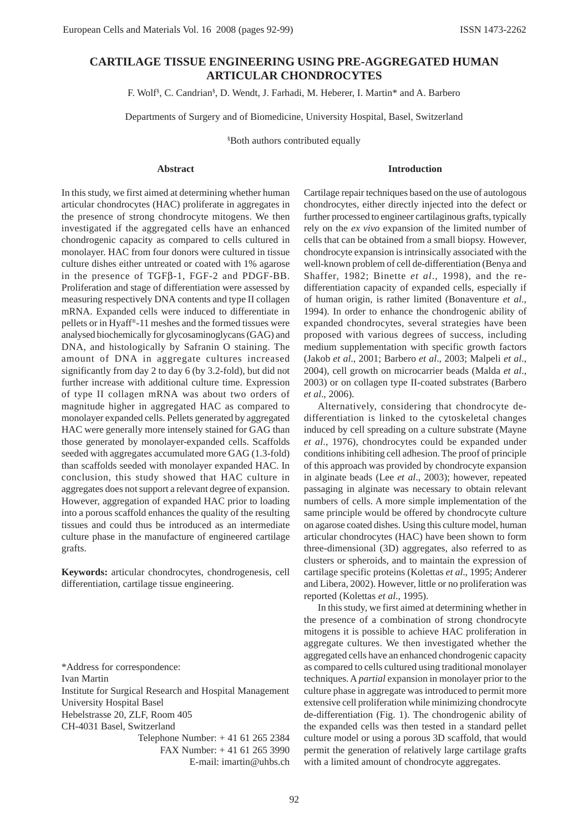# **CARTILAGE TISSUE ENGINEERING USING PRE-AGGREGATED HUMAN ARTICULAR CHONDROCYTES**

F. Wolf§ , C. Candrian§ , D. Wendt, J. Farhadi, M. Heberer, I. Martin\* and A. Barbero

Departments of Surgery and of Biomedicine, University Hospital, Basel, Switzerland

§ Both authors contributed equally

#### **Abstract**

### **Introduction**

In this study, we first aimed at determining whether human articular chondrocytes (HAC) proliferate in aggregates in the presence of strong chondrocyte mitogens. We then investigated if the aggregated cells have an enhanced chondrogenic capacity as compared to cells cultured in monolayer. HAC from four donors were cultured in tissue culture dishes either untreated or coated with 1% agarose in the presence of TGFβ-1, FGF-2 and PDGF-BB. Proliferation and stage of differentiation were assessed by measuring respectively DNA contents and type II collagen mRNA. Expanded cells were induced to differentiate in pellets or in Hyaff®-11 meshes and the formed tissues were analysed biochemically for glycosaminoglycans (GAG) and DNA, and histologically by Safranin O staining. The amount of DNA in aggregate cultures increased significantly from day 2 to day 6 (by 3.2-fold), but did not further increase with additional culture time. Expression of type II collagen mRNA was about two orders of magnitude higher in aggregated HAC as compared to monolayer expanded cells. Pellets generated by aggregated HAC were generally more intensely stained for GAG than those generated by monolayer-expanded cells. Scaffolds seeded with aggregates accumulated more GAG (1.3-fold) than scaffolds seeded with monolayer expanded HAC. In conclusion, this study showed that HAC culture in aggregates does not support a relevant degree of expansion. However, aggregation of expanded HAC prior to loading into a porous scaffold enhances the quality of the resulting tissues and could thus be introduced as an intermediate culture phase in the manufacture of engineered cartilage grafts.

**Keywords:** articular chondrocytes, chondrogenesis, cell differentiation, cartilage tissue engineering.

\*Address for correspondence: Ivan Martin Institute for Surgical Research and Hospital Management University Hospital Basel Hebelstrasse 20, ZLF, Room 405 CH-4031 Basel, Switzerland Telephone Number: + 41 61 265 2384 FAX Number: + 41 61 265 3990

E-mail: imartin@uhbs.ch

Cartilage repair techniques based on the use of autologous chondrocytes, either directly injected into the defect or further processed to engineer cartilaginous grafts, typically rely on the *ex vivo* expansion of the limited number of cells that can be obtained from a small biopsy. However, chondrocyte expansion is intrinsically associated with the well-known problem of cell de-differentiation (Benya and Shaffer, 1982; Binette *et al*., 1998), and the redifferentiation capacity of expanded cells, especially if of human origin, is rather limited (Bonaventure *et al*., 1994). In order to enhance the chondrogenic ability of expanded chondrocytes, several strategies have been proposed with various degrees of success, including medium supplementation with specific growth factors (Jakob *et al*., 2001; Barbero *et al*., 2003; Malpeli *et al*., 2004), cell growth on microcarrier beads (Malda *et al*., 2003) or on collagen type II-coated substrates (Barbero *et al*., 2006).

Alternatively, considering that chondrocyte dedifferentiation is linked to the cytoskeletal changes induced by cell spreading on a culture substrate (Mayne *et al*., 1976), chondrocytes could be expanded under conditions inhibiting cell adhesion. The proof of principle of this approach was provided by chondrocyte expansion in alginate beads (Lee *et al*., 2003); however, repeated passaging in alginate was necessary to obtain relevant numbers of cells. A more simple implementation of the same principle would be offered by chondrocyte culture on agarose coated dishes. Using this culture model, human articular chondrocytes (HAC) have been shown to form three-dimensional (3D) aggregates, also referred to as clusters or spheroids, and to maintain the expression of cartilage specific proteins (Kolettas *et al*., 1995; Anderer and Libera, 2002). However, little or no proliferation was reported (Kolettas *et al*., 1995).

In this study, we first aimed at determining whether in the presence of a combination of strong chondrocyte mitogens it is possible to achieve HAC proliferation in aggregate cultures. We then investigated whether the aggregated cells have an enhanced chondrogenic capacity as compared to cells cultured using traditional monolayer techniques. A *partial* expansion in monolayer prior to the culture phase in aggregate was introduced to permit more extensive cell proliferation while minimizing chondrocyte de-differentiation (Fig. 1). The chondrogenic ability of the expanded cells was then tested in a standard pellet culture model or using a porous 3D scaffold, that would permit the generation of relatively large cartilage grafts with a limited amount of chondrocyte aggregates.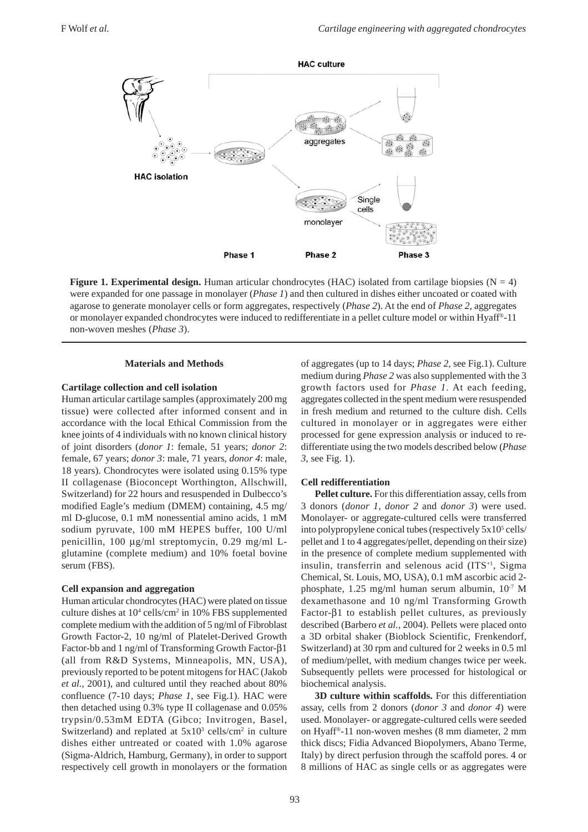

**Figure 1. Experimental design.** Human articular chondrocytes (HAC) isolated from cartilage biopsies ( $N = 4$ ) were expanded for one passage in monolayer (*Phase 1*) and then cultured in dishes either uncoated or coated with agarose to generate monolayer cells or form aggregates, respectively (*Phase 2*). At the end of *Phase 2*, aggregates or monolayer expanded chondrocytes were induced to redifferentiate in a pellet culture model or within Hyaff®-11 non-woven meshes (*Phase 3*).

### **Materials and Methods**

#### **Cartilage collection and cell isolation**

Human articular cartilage samples (approximately 200 mg tissue) were collected after informed consent and in accordance with the local Ethical Commission from the knee joints of 4 individuals with no known clinical history of joint disorders (*donor 1*: female, 51 years; *donor 2*: female, 67 years; *donor 3*: male, 71 years, *donor 4*: male, 18 years). Chondrocytes were isolated using 0.15% type II collagenase (Bioconcept Worthington, Allschwill, Switzerland) for 22 hours and resuspended in Dulbecco's modified Eagle's medium (DMEM) containing, 4.5 mg/ ml D-glucose, 0.1 mM nonessential amino acids, 1 mM sodium pyruvate, 100 mM HEPES buffer, 100 U/ml penicillin, 100 μg/ml streptomycin, 0.29 mg/ml Lglutamine (complete medium) and 10% foetal bovine serum (FBS).

### **Cell expansion and aggregation**

Human articular chondrocytes (HAC) were plated on tissue culture dishes at 10<sup>4</sup> cells/cm<sup>2</sup> in 10% FBS supplemented complete medium with the addition of 5 ng/ml of Fibroblast Growth Factor-2, 10 ng/ml of Platelet-Derived Growth Factor-bb and 1 ng/ml of Transforming Growth Factor-β1 (all from R&D Systems, Minneapolis, MN, USA), previously reported to be potent mitogens for HAC (Jakob *et al*., 2001), and cultured until they reached about 80% confluence (7-10 days; *Phase 1*, see Fig.1). HAC were then detached using 0.3% type II collagenase and 0.05% trypsin/0.53mM EDTA (Gibco; Invitrogen, Basel, Switzerland) and replated at  $5x10^3$  cells/cm<sup>2</sup> in culture dishes either untreated or coated with 1.0% agarose (Sigma-Aldrich, Hamburg, Germany), in order to support respectively cell growth in monolayers or the formation of aggregates (up to 14 days; *Phase 2,* see Fig.1). Culture medium during *Phase 2* was also supplemented with the 3 growth factors used for *Phase 1*. At each feeding, aggregates collected in the spent medium were resuspended in fresh medium and returned to the culture dish. Cells cultured in monolayer or in aggregates were either processed for gene expression analysis or induced to redifferentiate using the two models described below (*Phase 3*, see Fig. 1).

#### **Cell redifferentiation**

**Pellet culture.** For this differentiation assay, cells from 3 donors (*donor 1*, *donor 2* and *donor 3*) were used. Monolayer- or aggregate-cultured cells were transferred into polypropylene conical tubes (respectively 5x10<sup>5</sup> cells/ pellet and 1 to 4 aggregates/pellet, depending on their size) in the presence of complete medium supplemented with insulin, transferrin and selenous acid  $(ITS<sup>+1</sup>, Sigma)$ Chemical, St. Louis, MO, USA), 0.1 mM ascorbic acid 2 phosphate, 1.25 mg/ml human serum albumin, 10<sup>-7</sup> M dexamethasone and 10 ng/ml Transforming Growth Factor-β1 to establish pellet cultures, as previously described (Barbero *et al.*, 2004). Pellets were placed onto a 3D orbital shaker (Bioblock Scientific, Frenkendorf, Switzerland) at 30 rpm and cultured for 2 weeks in 0.5 ml of medium/pellet, with medium changes twice per week. Subsequently pellets were processed for histological or biochemical analysis.

**3D culture within scaffolds.** For this differentiation assay, cells from 2 donors (*donor 3* and *donor 4*) were used. Monolayer- or aggregate-cultured cells were seeded on Hyaff®-11 non-woven meshes (8 mm diameter, 2 mm thick discs; Fidia Advanced Biopolymers, Abano Terme, Italy) by direct perfusion through the scaffold pores. 4 or 8 millions of HAC as single cells or as aggregates were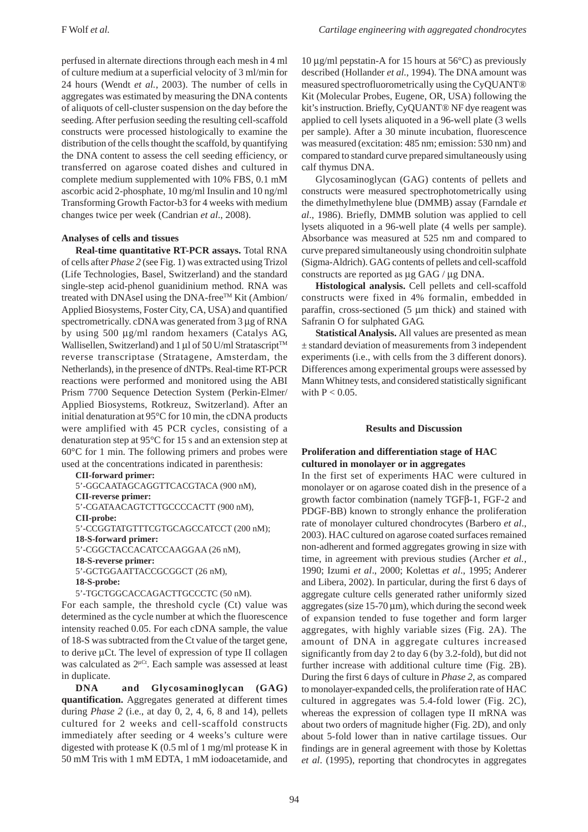perfused in alternate directions through each mesh in 4 ml of culture medium at a superficial velocity of 3 ml/min for 24 hours (Wendt *et al.*, 2003). The number of cells in aggregates was estimated by measuring the DNA contents of aliquots of cell-cluster suspension on the day before the seeding. After perfusion seeding the resulting cell-scaffold constructs were processed histologically to examine the distribution of the cells thought the scaffold, by quantifying the DNA content to assess the cell seeding efficiency, or transferred on agarose coated dishes and cultured in complete medium supplemented with 10% FBS, 0.1 mM ascorbic acid 2-phosphate, 10 mg/ml Insulin and 10 ng/ml Transforming Growth Factor-b3 for 4 weeks with medium changes twice per week (Candrian *et al*., 2008).

### **Analyses of cells and tissues**

**Real-time quantitative RT-PCR assays.** Total RNA of cells after *Phase 2* (see Fig. 1) was extracted using Trizol (Life Technologies, Basel, Switzerland) and the standard single-step acid-phenol guanidinium method. RNA was treated with DNAseI using the DNA-free<sup>TM</sup> Kit (Ambion/ Applied Biosystems, Foster City, CA, USA) and quantified spectrometrically. cDNA was generated from 3 μg of RNA by using 500 μg/ml random hexamers (Catalys AG, Wallisellen, Switzerland) and 1 μl of 50 U/ml Stratascript<sup>™</sup> reverse transcriptase (Stratagene, Amsterdam, the Netherlands), in the presence of dNTPs. Real-time RT-PCR reactions were performed and monitored using the ABI Prism 7700 Sequence Detection System (Perkin-Elmer/ Applied Biosystems, Rotkreuz, Switzerland). After an initial denaturation at 95°C for 10 min, the cDNA products were amplified with 45 PCR cycles, consisting of a denaturation step at 95°C for 15 s and an extension step at 60°C for 1 min. The following primers and probes were used at the concentrations indicated in parenthesis:

```
CII-forward primer:
5'-GGCAATAGCAGGTTCACGTACA (900 nM),
CII-reverse primer:
5'-CGATAACAGTCTTGCCCCACTT (900 nM),
CII-probe:
5'-CCGGTATGTTTCGTGCAGCCATCCT (200 nM);
18-S-forward primer:
5'-CGGCTACCACATCCAAGGAA (26 nM),
18-S-reverse primer:
5'-GCTGGAATTACCGCGGCT (26 nM),
18-S-probe:
5'-TGCTGGCACCAGACTTGCCCTC (50 nM).
```
For each sample, the threshold cycle (Ct) value was determined as the cycle number at which the fluorescence intensity reached 0.05. For each cDNA sample, the value of 18-S was subtracted from the Ct value of the target gene, to derive μCt. The level of expression of type II collagen was calculated as 2<sup>μCt</sup>. Each sample was assessed at least in duplicate.

**DNA and Glycosaminoglycan (GAG) quantification.** Aggregates generated at different times during *Phase 2* (i.e., at day 0, 2, 4, 6, 8 and 14), pellets cultured for 2 weeks and cell-scaffold constructs immediately after seeding or 4 weeks's culture were digested with protease K (0.5 ml of 1 mg/ml protease K in 50 mM Tris with 1 mM EDTA, 1 mM iodoacetamide, and 10 μg/ml pepstatin-A for 15 hours at 56°C) as previously described (Hollander *et al.*, 1994). The DNA amount was measured spectrofluorometrically using the CyQUANT® Kit (Molecular Probes, Eugene, OR, USA) following the kit's instruction. Briefly, CyQUANT® NF dye reagent was applied to cell lysets aliquoted in a 96-well plate (3 wells per sample). After a 30 minute incubation, fluorescence was measured (excitation: 485 nm; emission: 530 nm) and compared to standard curve prepared simultaneously using calf thymus DNA.

Glycosaminoglycan (GAG) contents of pellets and constructs were measured spectrophotometrically using the dimethylmethylene blue (DMMB) assay (Farndale *et al*., 1986). Briefly, DMMB solution was applied to cell lysets aliquoted in a 96-well plate (4 wells per sample). Absorbance was measured at 525 nm and compared to curve prepared simultaneously using chondroitin sulphate (Sigma-Aldrich). GAG contents of pellets and cell-scaffold constructs are reported as μg GAG / μg DNA.

**Histological analysis.** Cell pellets and cell-scaffold constructs were fixed in 4% formalin, embedded in paraffin, cross-sectioned (5 μm thick) and stained with Safranin O for sulphated GAG.

**Statistical Analysis.** All values are presented as mean ± standard deviation of measurements from 3 independent experiments (i.e., with cells from the 3 different donors). Differences among experimental groups were assessed by Mann Whitney tests, and considered statistically significant with  $P < 0.05$ .

# **Results and Discussion**

# **Proliferation and differentiation stage of HAC cultured in monolayer or in aggregates**

In the first set of experiments HAC were cultured in monolayer or on agarose coated dish in the presence of a growth factor combination (namely TGFβ-1, FGF-2 and PDGF-BB) known to strongly enhance the proliferation rate of monolayer cultured chondrocytes (Barbero *et al*., 2003). HAC cultured on agarose coated surfaces remained non-adherent and formed aggregates growing in size with time, in agreement with previous studies (Archer *et al.*, 1990; Izumi *et al*., 2000; Kolettas *et al*., 1995; Anderer and Libera, 2002). In particular, during the first 6 days of aggregate culture cells generated rather uniformly sized aggregates (size 15-70 μm), which during the second week of expansion tended to fuse together and form larger aggregates, with highly variable sizes (Fig. 2A). The amount of DNA in aggregate cultures increased significantly from day 2 to day 6 (by 3.2-fold), but did not further increase with additional culture time (Fig. 2B). During the first 6 days of culture in *Phase 2*, as compared to monolayer-expanded cells, the proliferation rate of HAC cultured in aggregates was 5.4-fold lower (Fig. 2C), whereas the expression of collagen type II mRNA was about two orders of magnitude higher (Fig. 2D), and only about 5-fold lower than in native cartilage tissues. Our findings are in general agreement with those by Kolettas *et al*. (1995), reporting that chondrocytes in aggregates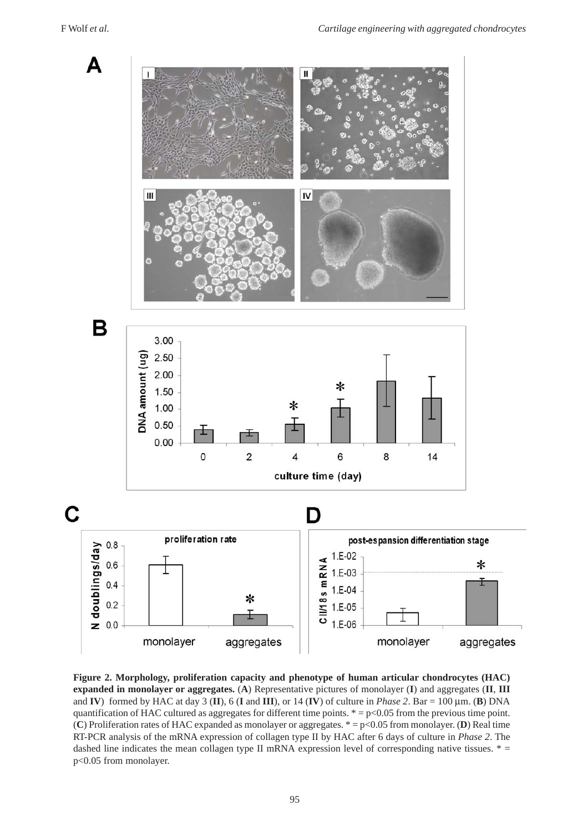

**Figure 2. Morphology, proliferation capacity and phenotype of human articular chondrocytes (HAC) expanded in monolayer or aggregates.** (**A**) Representative pictures of monolayer (**I**) and aggregates (**II**, **III** and **IV**) formed by HAC at day 3 (**II**), 6 (**I** and **III**), or 14 (**IV**) of culture in *Phase 2*. Bar = 100  $\mu$ m. (**B**) DNA quantification of HAC cultured as aggregates for different time points.  $* = p < 0.05$  from the previous time point. (**C**) Proliferation rates of HAC expanded as monolayer or aggregates. \* = p<0.05 from monolayer. (**D**) Real time RT-PCR analysis of the mRNA expression of collagen type II by HAC after 6 days of culture in *Phase 2*. The dashed line indicates the mean collagen type II mRNA expression level of corresponding native tissues.  $* =$ p<0.05 from monolayer.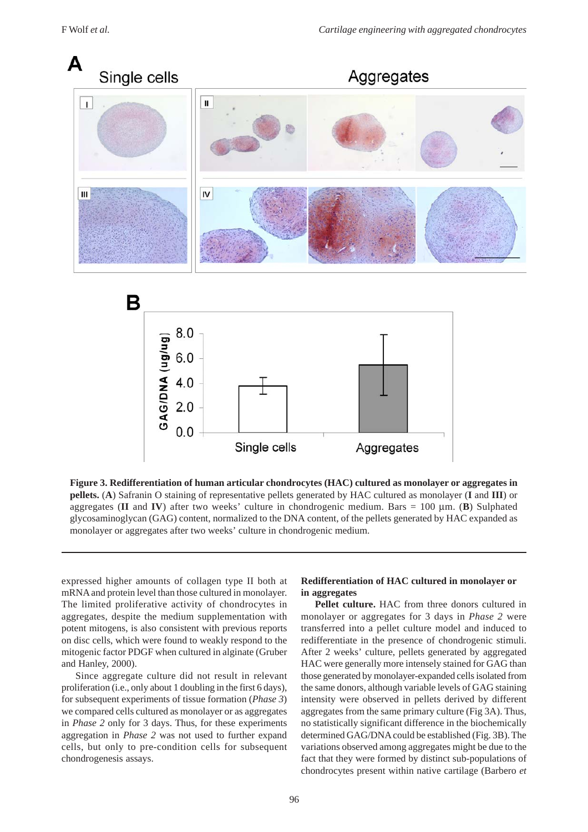



**Figure 3. Redifferentiation of human articular chondrocytes (HAC) cultured as monolayer or aggregates in pellets.** (**A**) Safranin O staining of representative pellets generated by HAC cultured as monolayer (**I** and **III**) or aggregates (**II** and **IV**) after two weeks' culture in chondrogenic medium. Bars =  $100 \mu$ m. (**B**) Sulphated glycosaminoglycan (GAG) content, normalized to the DNA content, of the pellets generated by HAC expanded as monolayer or aggregates after two weeks' culture in chondrogenic medium.

expressed higher amounts of collagen type II both at mRNA and protein level than those cultured in monolayer. The limited proliferative activity of chondrocytes in aggregates, despite the medium supplementation with potent mitogens, is also consistent with previous reports on disc cells, which were found to weakly respond to the mitogenic factor PDGF when cultured in alginate (Gruber and Hanley, 2000).

Since aggregate culture did not result in relevant proliferation (i.e., only about 1 doubling in the first 6 days), for subsequent experiments of tissue formation (*Phase 3*) we compared cells cultured as monolayer or as aggregates in *Phase 2* only for 3 days. Thus, for these experiments aggregation in *Phase 2* was not used to further expand cells, but only to pre-condition cells for subsequent chondrogenesis assays.

## **Redifferentiation of HAC cultured in monolayer or in aggregates**

**Pellet culture.** HAC from three donors cultured in monolayer or aggregates for 3 days in *Phase 2* were transferred into a pellet culture model and induced to redifferentiate in the presence of chondrogenic stimuli. After 2 weeks' culture, pellets generated by aggregated HAC were generally more intensely stained for GAG than those generated by monolayer-expanded cells isolated from the same donors, although variable levels of GAG staining intensity were observed in pellets derived by different aggregates from the same primary culture (Fig 3A). Thus, no statistically significant difference in the biochemically determined GAG/DNA could be established (Fig. 3B). The variations observed among aggregates might be due to the fact that they were formed by distinct sub-populations of chondrocytes present within native cartilage (Barbero *et*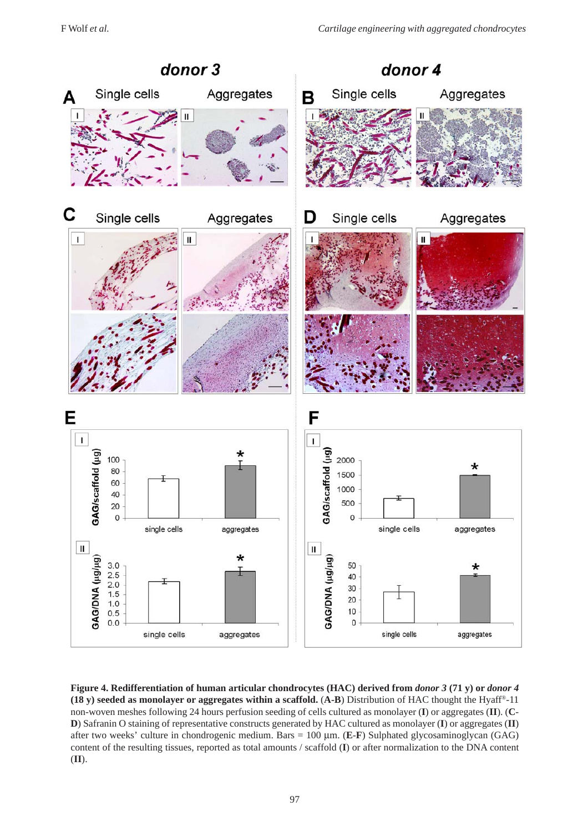

**Figure 4. Redifferentiation of human articular chondrocytes (HAC) derived from** *donor 3* **(71 y) or** *donor 4* **(18 y) seeded as monolayer or aggregates within a scaffold.** (**A-B**) Distribution of HAC thought the Hyaff®-11 non-woven meshes following 24 hours perfusion seeding of cells cultured as monolayer (**I**) or aggregates (**II**). (**C**-**D**) Safranin O staining of representative constructs generated by HAC cultured as monolayer (**I**) or aggregates (**II**) after two weeks' culture in chondrogenic medium. Bars = 100 μm. (**E**-**F**) Sulphated glycosaminoglycan (GAG) content of the resulting tissues, reported as total amounts / scaffold (**I**) or after normalization to the DNA content (**II**).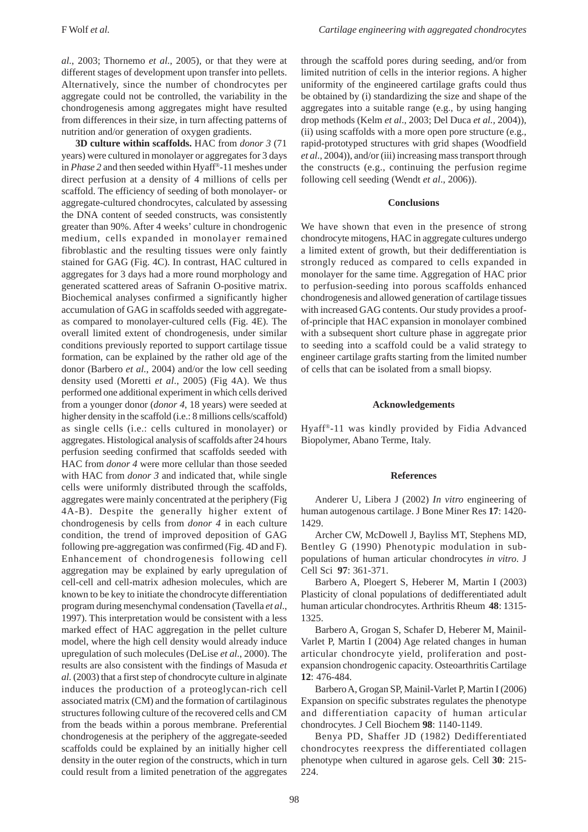*al.*, 2003; Thornemo *et al.*, 2005), or that they were at different stages of development upon transfer into pellets. Alternatively, since the number of chondrocytes per aggregate could not be controlled, the variability in the chondrogenesis among aggregates might have resulted from differences in their size, in turn affecting patterns of nutrition and/or generation of oxygen gradients.

**3D culture within scaffolds.** HAC from *donor 3* (71 years) were cultured in monolayer or aggregates for 3 days in *Phase 2* and then seeded within Hyaff®-11 meshes under direct perfusion at a density of 4 millions of cells per scaffold. The efficiency of seeding of both monolayer- or aggregate-cultured chondrocytes, calculated by assessing the DNA content of seeded constructs, was consistently greater than 90%. After 4 weeks' culture in chondrogenic medium, cells expanded in monolayer remained fibroblastic and the resulting tissues were only faintly stained for GAG (Fig. 4C). In contrast, HAC cultured in aggregates for 3 days had a more round morphology and generated scattered areas of Safranin O-positive matrix. Biochemical analyses confirmed a significantly higher accumulation of GAG in scaffolds seeded with aggregateas compared to monolayer-cultured cells (Fig. 4E). The overall limited extent of chondrogenesis, under similar conditions previously reported to support cartilage tissue formation, can be explained by the rather old age of the donor (Barbero *et al.*, 2004) and/or the low cell seeding density used (Moretti *et al*., 2005) (Fig 4A). We thus performed one additional experiment in which cells derived from a younger donor (*donor 4*, 18 years) were seeded at higher density in the scaffold (i.e.: 8 millions cells/scaffold) as single cells (i.e.: cells cultured in monolayer) or aggregates. Histological analysis of scaffolds after 24 hours perfusion seeding confirmed that scaffolds seeded with HAC from *donor 4* were more cellular than those seeded with HAC from *donor 3* and indicated that, while single cells were uniformly distributed through the scaffolds, aggregates were mainly concentrated at the periphery (Fig 4A-B). Despite the generally higher extent of chondrogenesis by cells from *donor 4* in each culture condition, the trend of improved deposition of GAG following pre-aggregation was confirmed (Fig. 4D and F). Enhancement of chondrogenesis following cell aggregation may be explained by early upregulation of cell-cell and cell-matrix adhesion molecules, which are known to be key to initiate the chondrocyte differentiation program during mesenchymal condensation (Tavella *et al*., 1997). This interpretation would be consistent with a less marked effect of HAC aggregation in the pellet culture model, where the high cell density would already induce upregulation of such molecules (DeLise *et al*., 2000). The results are also consistent with the findings of Masuda *et al.* (2003) that a first step of chondrocyte culture in alginate induces the production of a proteoglycan-rich cell associated matrix (CM) and the formation of cartilaginous structures following culture of the recovered cells and CM from the beads within a porous membrane. Preferential chondrogenesis at the periphery of the aggregate-seeded scaffolds could be explained by an initially higher cell density in the outer region of the constructs, which in turn could result from a limited penetration of the aggregates

through the scaffold pores during seeding, and/or from limited nutrition of cells in the interior regions. A higher uniformity of the engineered cartilage grafts could thus be obtained by (i) standardizing the size and shape of the aggregates into a suitable range (e.g., by using hanging drop methods (Kelm *et al*., 2003; Del Duca *et al.,* 2004)), (ii) using scaffolds with a more open pore structure (e.g., rapid-prototyped structures with grid shapes (Woodfield *et al*., 2004)), and/or (iii) increasing mass transport through the constructs (e.g., continuing the perfusion regime following cell seeding (Wendt *et al*., 2006)).

#### **Conclusions**

We have shown that even in the presence of strong chondrocyte mitogens, HAC in aggregate cultures undergo a limited extent of growth, but their dedifferentiation is strongly reduced as compared to cells expanded in monolayer for the same time. Aggregation of HAC prior to perfusion-seeding into porous scaffolds enhanced chondrogenesis and allowed generation of cartilage tissues with increased GAG contents. Our study provides a proofof-principle that HAC expansion in monolayer combined with a subsequent short culture phase in aggregate prior to seeding into a scaffold could be a valid strategy to engineer cartilage grafts starting from the limited number of cells that can be isolated from a small biopsy.

#### **Acknowledgements**

Hyaff®-11 was kindly provided by Fidia Advanced Biopolymer, Abano Terme, Italy.

#### **References**

Anderer U, Libera J (2002) *In vitro* engineering of human autogenous cartilage. J Bone Miner Res **17**: 1420- 1429.

Archer CW, McDowell J, Bayliss MT, Stephens MD, Bentley G (1990) Phenotypic modulation in subpopulations of human articular chondrocytes *in vitro*. J Cell Sci **97**: 361-371.

Barbero A, Ploegert S, Heberer M, Martin I (2003) Plasticity of clonal populations of dedifferentiated adult human articular chondrocytes. Arthritis Rheum **48**: 1315- 1325.

Barbero A, Grogan S, Schafer D, Heberer M, Mainil-Varlet P, Martin I (2004) Age related changes in human articular chondrocyte yield, proliferation and postexpansion chondrogenic capacity. Osteoarthritis Cartilage **12**: 476-484.

Barbero A, Grogan SP, Mainil-Varlet P, Martin I (2006) Expansion on specific substrates regulates the phenotype and differentiation capacity of human articular chondrocytes. J Cell Biochem **98**: 1140-1149.

Benya PD, Shaffer JD (1982) Dedifferentiated chondrocytes reexpress the differentiated collagen phenotype when cultured in agarose gels. Cell **30**: 215- 224.